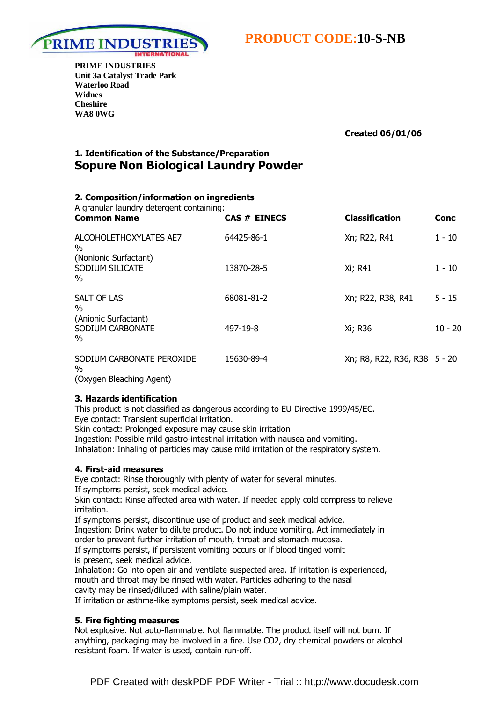

**PRIME INDUSTRIES Unit 3a Catalyst Trade Park Waterloo Road Widnes Cheshire WA8 0WG** 

Created 06/01/06

# 1. Identification of the Substance/Preparation Sopure Non Biological Laundry Powder

# 2. Composition/information on ingredients

| A granular laundry detergent containing:<br><b>Common Name</b> | <b>CAS # EINECS</b> | <b>Classification</b>        | Conc      |
|----------------------------------------------------------------|---------------------|------------------------------|-----------|
| ALCOHOLETHOXYLATES AE7<br>$\%$                                 | 64425-86-1          | Xn; R22, R41                 | $1 - 10$  |
| (Nonionic Surfactant)<br>SODIUM SILICATE<br>$\%$               | 13870-28-5          | Xi; R41                      | $1 - 10$  |
| <b>SALT OF LAS</b><br>$\%$                                     | 68081-81-2          | Xn; R22, R38, R41            | $5 - 15$  |
| (Anionic Surfactant)<br>SODIUM CARBONATE<br>$\%$               | 497-19-8            | Xi; R36                      | $10 - 20$ |
| SODIUM CARBONATE PEROXIDE<br>$\%$                              | 15630-89-4          | Xn; R8, R22, R36, R38 5 - 20 |           |

(Oxygen Bleaching Agent)

# 3. Hazards identification

This product is not classified as dangerous according to EU Directive 1999/45/EC. Eye contact: Transient superficial irritation.

Skin contact: Prolonged exposure may cause skin irritation

Ingestion: Possible mild gastro-intestinal irritation with nausea and vomiting. Inhalation: Inhaling of particles may cause mild irritation of the respiratory system.

# 4. First-aid measures

Eye contact: Rinse thoroughly with plenty of water for several minutes. If symptoms persist, seek medical advice.

Skin contact: Rinse affected area with water. If needed apply cold compress to relieve irritation.

If symptoms persist, discontinue use of product and seek medical advice. Ingestion: Drink water to dilute product. Do not induce vomiting. Act immediately in order to prevent further irritation of mouth, throat and stomach mucosa. If symptoms persist, if persistent vomiting occurs or if blood tinged vomit is present, seek medical advice.

Inhalation: Go into open air and ventilate suspected area. If irritation is experienced, mouth and throat may be rinsed with water. Particles adhering to the nasal cavity may be rinsed/diluted with saline/plain water.

If irritation or asthma-like symptoms persist, seek medical advice.

# 5. Fire fighting measures

Not explosive. Not auto-flammable. Not flammable. The product itself will not burn. If anything, packaging may be involved in a fire. Use CO2, dry chemical powders or alcohol resistant foam. If water is used, contain run-off.